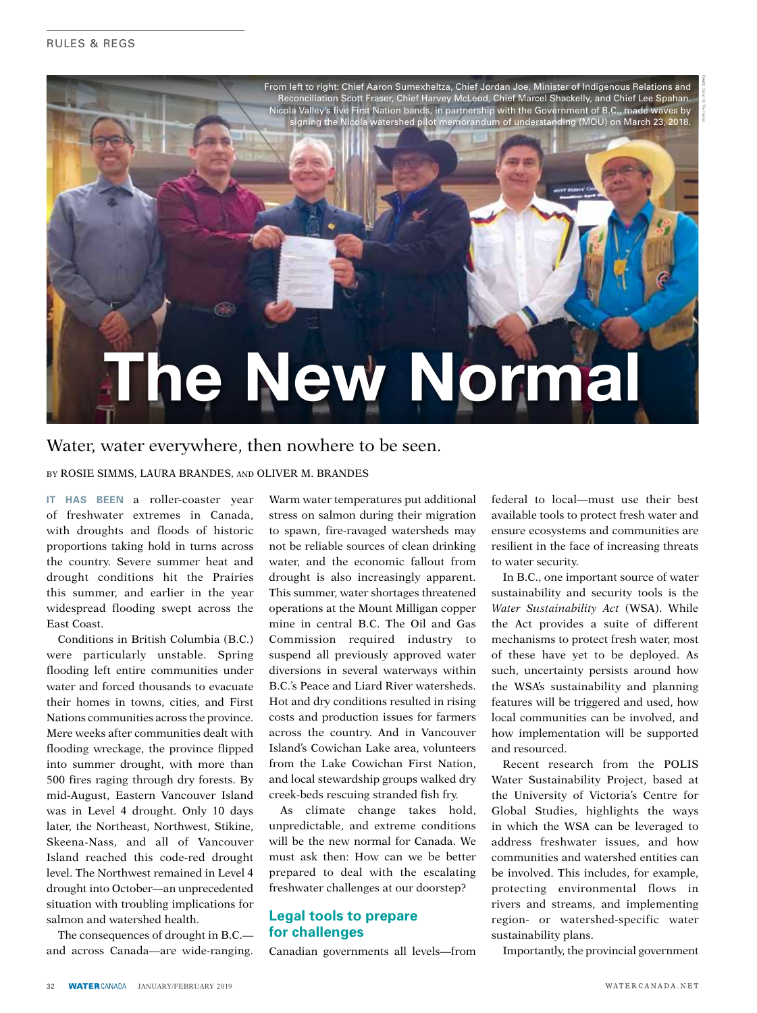

## Water, water everywhere, then nowhere to be seen.

By Rosie Simms, Laura Brandes, and Oliver M. Brandes

**It has been** a roller-coaster year of freshwater extremes in Canada, with droughts and floods of historic proportions taking hold in turns across the country. Severe summer heat and drought conditions hit the Prairies this summer, and earlier in the year widespread flooding swept across the East Coast.

Conditions in British Columbia (B.C.) were particularly unstable. Spring flooding left entire communities under water and forced thousands to evacuate their homes in towns, cities, and First Nations communities across the province. Mere weeks after communities dealt with flooding wreckage, the province flipped into summer drought, with more than 500 fires raging through dry forests. By mid-August, Eastern Vancouver Island was in Level 4 drought. Only 10 days later, the Northeast, Northwest, Stikine, Skeena-Nass, and all of Vancouver Island reached this code-red drought level. The Northwest remained in Level 4 drought into October—an unprecedented situation with troubling implications for salmon and watershed health.

The consequences of drought in B.C. and across Canada—are wide-ranging.

Warm water temperatures put additional stress on salmon during their migration to spawn, fire-ravaged watersheds may not be reliable sources of clean drinking water, and the economic fallout from drought is also increasingly apparent. This summer, water shortages threatened operations at the Mount Milligan copper mine in central B.C. The Oil and Gas Commission required industry to suspend all previously approved water diversions in several waterways within B.C.'s Peace and Liard River watersheds. Hot and dry conditions resulted in rising costs and production issues for farmers across the country. And in Vancouver Island's Cowichan Lake area, volunteers from the Lake Cowichan First Nation, and local stewardship groups walked dry creek-beds rescuing stranded fish fry.

As climate change takes hold, unpredictable, and extreme conditions will be the new normal for Canada. We must ask then: How can we be better prepared to deal with the escalating freshwater challenges at our doorstep?

#### **Legal tools to prepare for challenges**

Canadian governments all levels—from

federal to local—must use their best available tools to protect fresh water and ensure ecosystems and communities are resilient in the face of increasing threats to water security.

In B.C., one important source of water sustainability and security tools is the *Water Sustainability Act* (WSA). While the Act provides a suite of different mechanisms to protect fresh water, most of these have yet to be deployed. As such, uncertainty persists around how the WSA's sustainability and planning features will be triggered and used, how local communities can be involved, and how implementation will be supported and resourced.

Recent research from the POLIS Water Sustainability Project, based at the University of Victoria's Centre for Global Studies, highlights the ways in which the WSA can be leveraged to address freshwater issues, and how communities and watershed entities can be involved. This includes, for example, protecting environmental flows in rivers and streams, and implementing region- or watershed-specific water sustainability plans.

Importantly, the provincial government